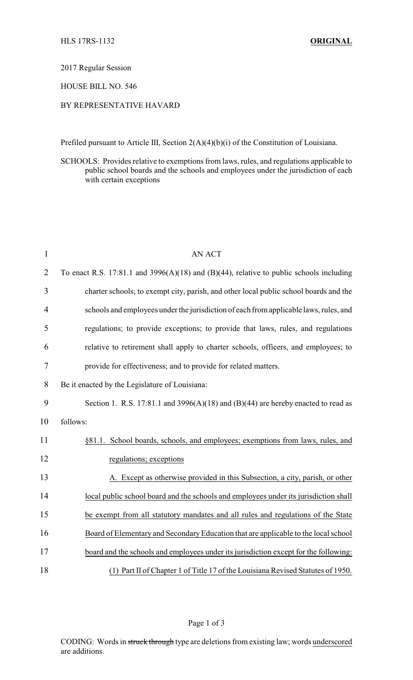2017 Regular Session

HOUSE BILL NO. 546

## BY REPRESENTATIVE HAVARD

Prefiled pursuant to Article III, Section 2(A)(4)(b)(i) of the Constitution of Louisiana.

SCHOOLS: Provides relative to exemptions from laws, rules, and regulations applicable to public school boards and the schools and employees under the jurisdiction of each with certain exceptions

| $\mathbf{1}$   | <b>AN ACT</b>                                                                           |
|----------------|-----------------------------------------------------------------------------------------|
| $\overline{2}$ | To enact R.S. 17:81.1 and 3996(A)(18) and (B)(44), relative to public schools including |
| 3              | charter schools; to exempt city, parish, and other local public school boards and the   |
| $\overline{4}$ | schools and employees under the jurisdiction of each from applicable laws, rules, and   |
| 5              | regulations; to provide exceptions; to provide that laws, rules, and regulations        |
| 6              | relative to retirement shall apply to charter schools, officers, and employees; to      |
| $\tau$         | provide for effectiveness; and to provide for related matters.                          |
| 8              | Be it enacted by the Legislature of Louisiana:                                          |
| 9              | Section 1. R.S. 17:81.1 and 3996(A)(18) and (B)(44) are hereby enacted to read as       |
| 10             | follows:                                                                                |
| 11             | §81.1. School boards, schools, and employees; exemptions from laws, rules, and          |
| 12             | regulations; exceptions                                                                 |
| 13             | A. Except as otherwise provided in this Subsection, a city, parish, or other            |
| 14             | local public school board and the schools and employees under its jurisdiction shall    |
| 15             | be exempt from all statutory mandates and all rules and regulations of the State        |
| 16             | Board of Elementary and Secondary Education that are applicable to the local school     |
| 17             | board and the schools and employees under its jurisdiction except for the following:    |
| 18             | (1) Part II of Chapter 1 of Title 17 of the Louisiana Revised Statutes of 1950.         |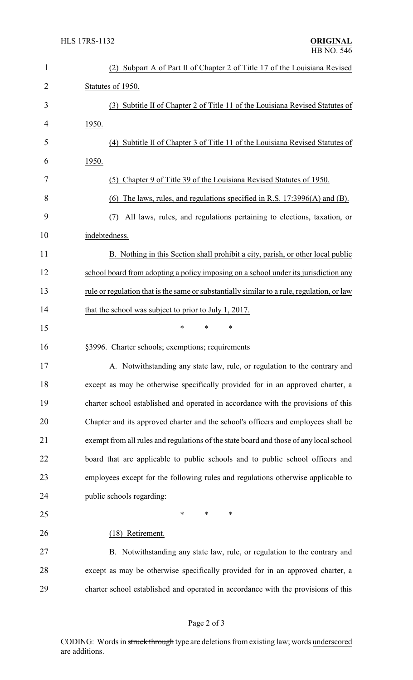| $\mathbf{1}$ | Subpart A of Part II of Chapter 2 of Title 17 of the Louisiana Revised<br>(2)              |
|--------------|--------------------------------------------------------------------------------------------|
| 2            | Statutes of 1950.                                                                          |
| 3            | (3) Subtitle II of Chapter 2 of Title 11 of the Louisiana Revised Statutes of              |
| 4            | <u>1950.</u>                                                                               |
| 5            | Subtitle II of Chapter 3 of Title 11 of the Louisiana Revised Statutes of<br>(4)           |
| 6            | 1950.                                                                                      |
| 7            | (5) Chapter 9 of Title 39 of the Louisiana Revised Statutes of 1950.                       |
| 8            | The laws, rules, and regulations specified in R.S. 17:3996(A) and (B).<br>(6)              |
| 9            | All laws, rules, and regulations pertaining to elections, taxation, or<br>(7)              |
| 10           | indebtedness.                                                                              |
| 11           | B. Nothing in this Section shall prohibit a city, parish, or other local public            |
| 12           | school board from adopting a policy imposing on a school under its jurisdiction any        |
| 13           | rule or regulation that is the same or substantially similar to a rule, regulation, or law |
| 14           | that the school was subject to prior to July 1, 2017.                                      |
| 15           | *<br>$\ast$<br>*                                                                           |
| 16           | §3996. Charter schools; exemptions; requirements                                           |
| 17           | A. Notwithstanding any state law, rule, or regulation to the contrary and                  |
| 18           | except as may be otherwise specifically provided for in an approved charter, a             |
| 19           | charter school established and operated in accordance with the provisions of this          |
| 20           | Chapter and its approved charter and the school's officers and employees shall be          |
| 21           | exempt from all rules and regulations of the state board and those of any local school     |
| 22           | board that are applicable to public schools and to public school officers and              |
| 23           | employees except for the following rules and regulations otherwise applicable to           |
| 24           | public schools regarding:                                                                  |
| 25           | ∗<br>*<br>∗                                                                                |
| 26           | (18) Retirement.                                                                           |
| 27           | B. Notwithstanding any state law, rule, or regulation to the contrary and                  |
| 28           | except as may be otherwise specifically provided for in an approved charter, a             |
| 29           | charter school established and operated in accordance with the provisions of this          |